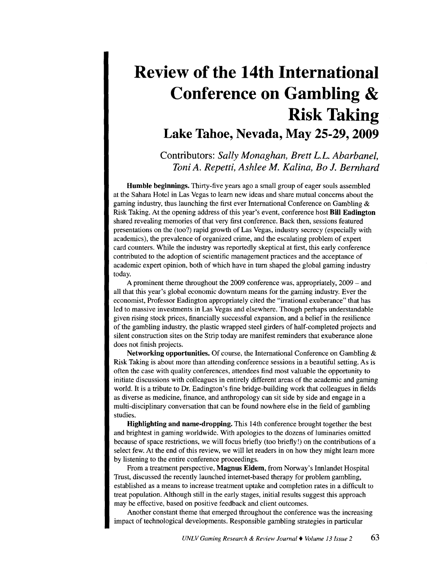## **Review of the 14th International Conference on Gambling** & **Risk Taking Lake Tahoe, Nevada, May 25-29,2009**

Contributors: *Sally Monaghan, Brett* L.L. *Abarbanel, Toni A. Repetti, Ashlee M. Kalina, Bo* J. *Bernhard* 

Humble beginnings. Thirty-five years ago a small group of eager souls assembled at the Sahara Hotel in Las Vegas to learn new ideas and share mutual concerns about the gaming industry, thus launching the first ever International Conference on Gambling & Risk Taking. At the opening address of this year's event, conference host Bill Eadington shared revealing memories of that very first conference. Back then, sessions featured presentations on the (too?) rapid growth of Las Vegas, industry secrecy (especially with academics), the prevalence of organized crime, and the escalating problem of expert card counters. While the industry was reportedly skeptical at first, this early conference contributed to the adoption of scientific management practices and the acceptance of academic expert opinion, both of which have in tum shaped the global gaming industry today.

A prominent theme throughout the 2009 conference was, appropriately, 2009 - and all that this year's global economic downturn means for the gaming industry. Ever the economist, Professor Eadington appropriately cited the "irrational exuberance" that has led to massive investments in Las Vegas and elsewhere. Though perhaps understandable given rising stock prices, financially successful expansion, and a belief in the resilience of the gambling industry, the plastic wrapped steel girders of half-completed projects and silent construction sites on the Strip today are manifest reminders that exuberance alone does not finish projects.

Networking opportunities. Of course, the International Conference on Gambling  $\&$ Risk Taking is about more than attending conference sessions in a beautiful setting. As is often the case with quality conferences, attendees find most valuable the opportunity to initiate discussions with colleagues in entirely different areas of the academic and gaming world. It is a tribute to Dr. Eadington's fine bridge-building work that colleagues in fields as diverse as medicine, finance, and anthropology can sit side by side and engage in a multi-disciplinary conversation that can be found nowhere else in the field of gambling studies.

Highlighting and name-dropping. This 14th conference brought together the best and brightest in gaming worldwide. With apologies to the dozens of luminaries omitted because of space restrictions, we will focus briefly (too briefly!) on the contributions of a select few. At the end of this review, we will let readers in on how they might learn more by listening to the entire conference proceedings.

From a treatment perspective, Magnus Eidem, from Norway's Innlandet Hospital Trust, discussed the recently launched internet-based therapy for problem gambling, established as a means to increase treatment uptake and completion rates in a difficult to treat population. Although still in the early stages, initial results suggest this approach may be effective, based on positive feedback and client outcomes.

Another constant theme that emerged throughout the conference was the increasing impact of technological developments. Responsible gambling strategies in particular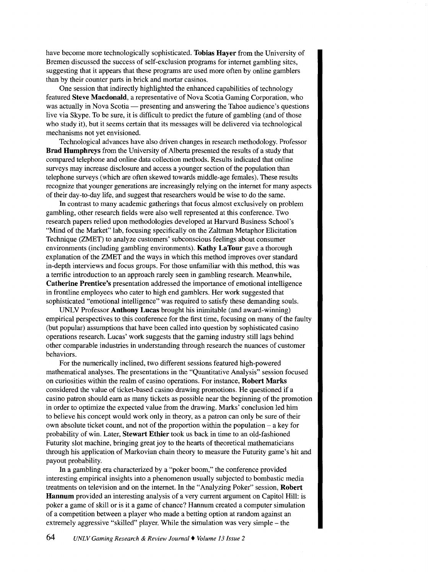have become more technologically sophisticated. **Tobias Hayer** from the University of Bremen discussed the success of self-exclusion programs for internet gambling sites, suggesting that it appears that these programs are used more often by online gamblers than by their counter parts in brick and mortar casinos.

One session that indirectly highlighted the enhanced capabilities of technology featured **Steve Macdonald,** a representative of Nova Scotia Gaming Corporation, who was actually in Nova Scotia — presenting and answering the Tahoe audience's questions live via Skype. To be sure, it is difficult to predict the future of gambling (and of those who study it), but it seems certain that its messages will be delivered via technological mechanisms not yet envisioned.

Technological advances have also driven changes in research methodology. Professor **Brad Humphreys** from the University of Alberta presented the results of a study that compared telephone and online data collection methods. Results indicated that online surveys may increase disclosure and access a younger section of the population than telephone surveys (which are often skewed towards middle-age females). These results recognize that younger generations are increasingly relying on the internet for many aspects of their day-to-day life, and suggest that researchers would be wise to do the same.

In contrast to many academic gatherings that focus almost exclusively on problem gambling, other research fields were also well represented at this conference. Two research papers relied upon methodologies developed at Harvard Business School's "Mind of the Market" lab, focusing specifically on the Zaltrnan Metaphor Elicitation Technique (ZMET) to analyze customers' subconscious feelings about consumer environments (including gambling environments). **Kathy LaTour** gave a thorough explanation of the ZMET and the ways in which this method improves over standard in-depth interviews and focus groups. For those unfamiliar with this method, this was a terrific introduction to an approach rarely seen in gambling research. Meanwhile, **Catherine Prentice's** presentation addressed the importance of emotional intelligence in frontline employees who cater to high end gamblers. Her work suggested that sophisticated "emotional intelligence" was required to satisfy these demanding souls.

UNLV Professor **Anthony Lucas** brought his inimitable (and award-winning) empirical perspectives to this conference for the first time, focusing on many of the faulty (but popular) assumptions that have been called into question by sophisticated casino operations research. Lucas' work suggests that the gaming industry still lags behind other comparable industries in understanding through research the nuances of customer behaviors.

For the numerically inclined, two different sessions featured high-powered mathematical analyses. The presentations in the "Quantitative Analysis" session focused on curiosities within the realm of casino operations. For instance, **Robert Marks**  considered the value of ticket-based casino drawing promotions. He questioned if a casino patron should earn as many tickets as possible near the beginning of the promotion in order to optimize the expected value from the drawing. Marks' conclusion led him to believe his concept would work only in theory, as a patron can only be sure of their own absolute ticket count, and not of the proportion within the population - a key for probability of win. Later, **Stewart Ethier** took us back in time to an old-fashioned Futurity slot machine, bringing great joy to the hearts of theoretical mathematicians through his application of Markovian chain theory to measure the Futurity game's hit and payout probability.

In a gambling era characterized by a "poker boom," the conference provided interesting empirical insights into a phenomenon usually subjected to bombastic media treatments on television and on the internet. In the "Analyzing Poker" session, **Robert Hannum** provided an interesting analysis of a very current argument on Capitol **Hill:** is poker a game of skill or is it a game of chance? Hannum created a computer simulation of a competition between a player who made a betting option at random against an extremely aggressive "skilled" player. While the simulation was very simple- the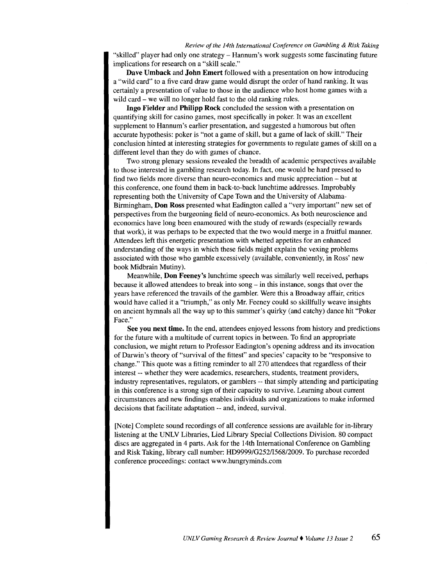"skilled" player had only one strategy- Hannum's work suggests some fascinating future implications for research on a "skill scale."

Dave Umback and John Emert followed with a presentation on how introducing a "wild card" to a five card draw game would disrupt the order of hand ranking. It was certainly a presentation of value to those in the audience who host home games with a wild card – we will no longer hold fast to the old ranking rules.

Ingo Fielder and Philipp Rock concluded the session with a presentation on quantifying skill for casino games, most specifically in poker. It was an excellent supplement to Hannum's earlier presentation, and suggested a humorous but often accurate hypothesis: poker is "not a game of skill, but a game of lack of skill." Their conclusion hinted at interesting strategies for governments to regulate games of skill on a different level than they do with games of chance.

Two strong plenary sessions revealed the breadth of academic perspectives available to those interested in gambling research today. In fact, one would be hard pressed to find two fields more diverse than neuro-economics and music appreciation - but at this conference, one found them in back-to-back lunchtime addresses. Improbably representing both the University of Cape Town and the University of Alabama-Birmingham, Don Ross presented what Eadington called a "very important" new set of perspectives from the burgeoning field of neuro-economics. As both neuroscience and economics have long been enamoured with the study of rewards (especially rewards that work), it was perhaps to be expected that the two would merge in a fruitful manner. Attendees left this energetic presentation with whetted appetites for an enhanced understanding of the ways in which these fields might explain the vexing problems associated with those who gamble excessively (available, conveniently, in Ross' new book Midbrain Mutiny).

Meanwhile, Don Feeney's lunchtime speech was similarly well received, perhaps because it allowed attendees to break into song – in this instance, songs that over the years have referenced the travails of the gambler. Were this a Broadway affair, critics would have called it a "triumph," as only Mr. Feeney could so skillfully weave insights on ancient hymnals all the way up to this summer's quirky (and catchy) dance hit "Poker Face."

See you next time. In the end, attendees enjoyed lessons from history and predictions for the future with a multitude of current topics in between. To find an appropriate conclusion, we might return to Professor Eadington's opening address and its invocation of Darwin's theory of "survival of the fittest" and species' capacity to be "responsive to change." This quote was a fitting reminder to all 270 attendees that regardless of their interest -- whether they were academics, researchers, students, treatment providers, industry representatives, regulators, or gamblers -- that simply attending and participating in this conference is a strong sign of their capacity to survive. Learning about current circumstances and new findings enables individuals and organizations to make informed decisions that facilitate adaptation -- and, indeed, survival.

[Note] Complete sound recordings of all conference sessions are available for in-library listening at the UNLV Libraries, Lied Library Special Collections Division. 80 compact discs are aggregated in 4 parts. Ask for the 14th International Conference on Gambling and Risk Taking, library call number: HD9999/G252/1568/2009. To purchase recorded conference proceedings: contact www.hungryminds.com